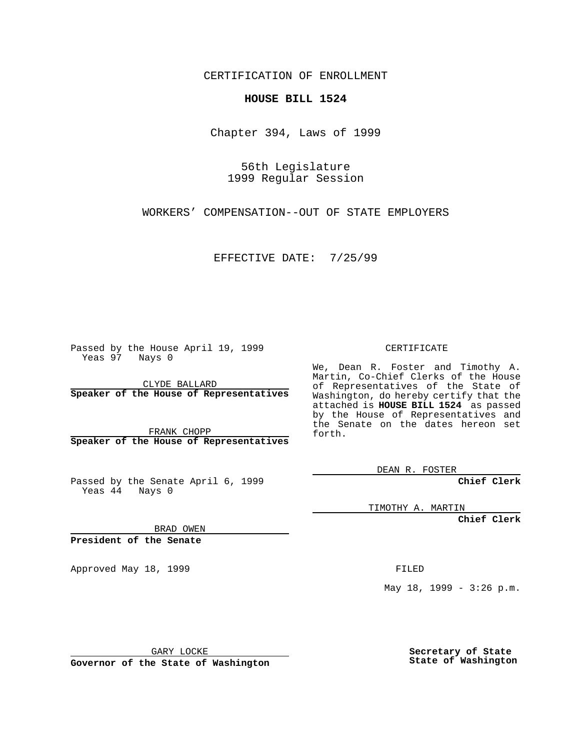CERTIFICATION OF ENROLLMENT

## **HOUSE BILL 1524**

Chapter 394, Laws of 1999

56th Legislature 1999 Regular Session

WORKERS' COMPENSATION--OUT OF STATE EMPLOYERS

EFFECTIVE DATE: 7/25/99

Passed by the House April 19, 1999 Yeas 97 Nays 0

CLYDE BALLARD **Speaker of the House of Representatives**

FRANK CHOPP **Speaker of the House of Representatives**

Passed by the Senate April 6, 1999 Yeas 44 Nays 0

CERTIFICATE

We, Dean R. Foster and Timothy A. Martin, Co-Chief Clerks of the House of Representatives of the State of Washington, do hereby certify that the attached is **HOUSE BILL 1524** as passed by the House of Representatives and the Senate on the dates hereon set forth.

DEAN R. FOSTER

**Chief Clerk**

TIMOTHY A. MARTIN

**Chief Clerk**

BRAD OWEN

**President of the Senate**

Approved May 18, 1999 **FILED** 

May 18, 1999 - 3:26 p.m.

GARY LOCKE

**Governor of the State of Washington**

**Secretary of State State of Washington**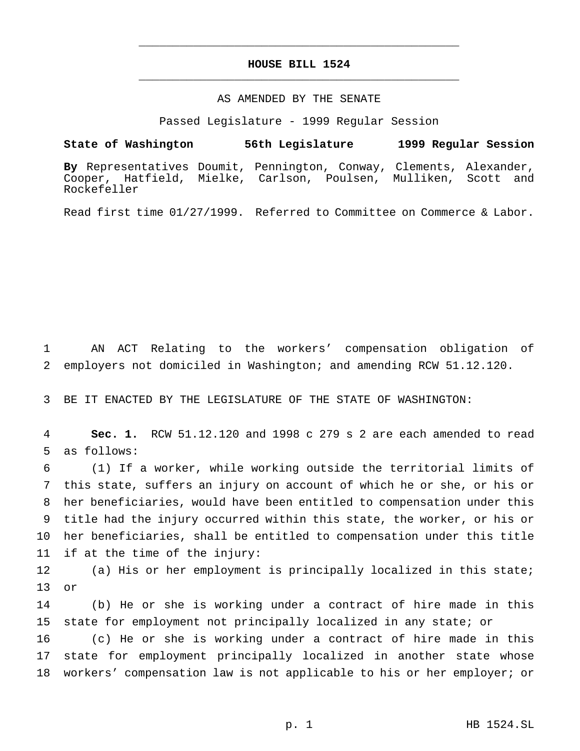## **HOUSE BILL 1524** \_\_\_\_\_\_\_\_\_\_\_\_\_\_\_\_\_\_\_\_\_\_\_\_\_\_\_\_\_\_\_\_\_\_\_\_\_\_\_\_\_\_\_\_\_\_\_

\_\_\_\_\_\_\_\_\_\_\_\_\_\_\_\_\_\_\_\_\_\_\_\_\_\_\_\_\_\_\_\_\_\_\_\_\_\_\_\_\_\_\_\_\_\_\_

## AS AMENDED BY THE SENATE

Passed Legislature - 1999 Regular Session

## **State of Washington 56th Legislature 1999 Regular Session**

**By** Representatives Doumit, Pennington, Conway, Clements, Alexander, Cooper, Hatfield, Mielke, Carlson, Poulsen, Mulliken, Scott and Rockefeller

Read first time 01/27/1999. Referred to Committee on Commerce & Labor.

 AN ACT Relating to the workers' compensation obligation of employers not domiciled in Washington; and amending RCW 51.12.120.

BE IT ENACTED BY THE LEGISLATURE OF THE STATE OF WASHINGTON:

 **Sec. 1.** RCW 51.12.120 and 1998 c 279 s 2 are each amended to read as follows:

 (1) If a worker, while working outside the territorial limits of this state, suffers an injury on account of which he or she, or his or her beneficiaries, would have been entitled to compensation under this title had the injury occurred within this state, the worker, or his or her beneficiaries, shall be entitled to compensation under this title if at the time of the injury:

 (a) His or her employment is principally localized in this state; or

 (b) He or she is working under a contract of hire made in this state for employment not principally localized in any state; or

 (c) He or she is working under a contract of hire made in this state for employment principally localized in another state whose workers' compensation law is not applicable to his or her employer; or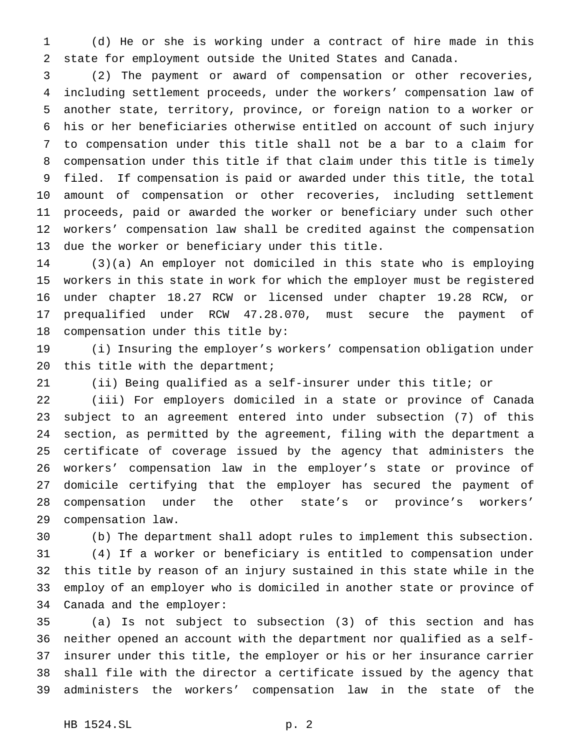(d) He or she is working under a contract of hire made in this state for employment outside the United States and Canada.

 (2) The payment or award of compensation or other recoveries, including settlement proceeds, under the workers' compensation law of another state, territory, province, or foreign nation to a worker or his or her beneficiaries otherwise entitled on account of such injury to compensation under this title shall not be a bar to a claim for compensation under this title if that claim under this title is timely filed. If compensation is paid or awarded under this title, the total amount of compensation or other recoveries, including settlement proceeds, paid or awarded the worker or beneficiary under such other workers' compensation law shall be credited against the compensation due the worker or beneficiary under this title.

 (3)(a) An employer not domiciled in this state who is employing workers in this state in work for which the employer must be registered under chapter 18.27 RCW or licensed under chapter 19.28 RCW, or prequalified under RCW 47.28.070, must secure the payment of compensation under this title by:

 (i) Insuring the employer's workers' compensation obligation under 20 this title with the department;

(ii) Being qualified as a self-insurer under this title; or

 (iii) For employers domiciled in a state or province of Canada subject to an agreement entered into under subsection (7) of this section, as permitted by the agreement, filing with the department a certificate of coverage issued by the agency that administers the workers' compensation law in the employer's state or province of domicile certifying that the employer has secured the payment of compensation under the other state's or province's workers' compensation law.

 (b) The department shall adopt rules to implement this subsection. (4) If a worker or beneficiary is entitled to compensation under this title by reason of an injury sustained in this state while in the employ of an employer who is domiciled in another state or province of Canada and the employer:

 (a) Is not subject to subsection (3) of this section and has neither opened an account with the department nor qualified as a self- insurer under this title, the employer or his or her insurance carrier shall file with the director a certificate issued by the agency that administers the workers' compensation law in the state of the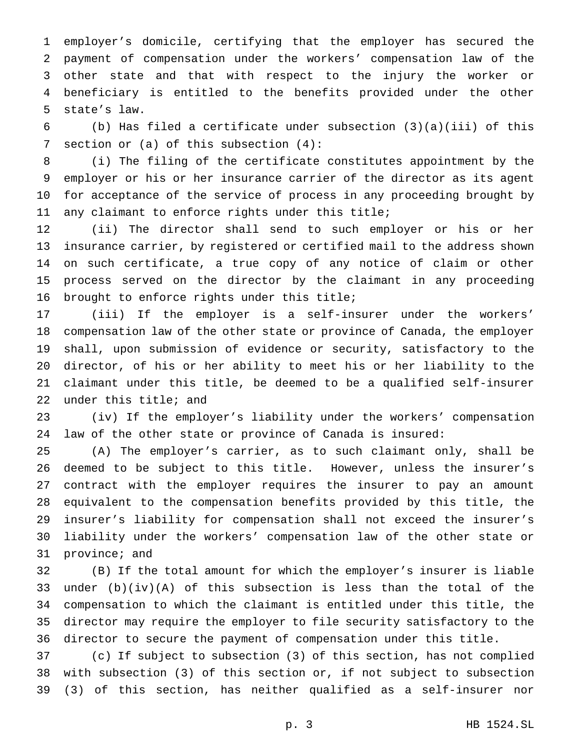employer's domicile, certifying that the employer has secured the payment of compensation under the workers' compensation law of the other state and that with respect to the injury the worker or beneficiary is entitled to the benefits provided under the other state's law.

 (b) Has filed a certificate under subsection (3)(a)(iii) of this section or (a) of this subsection (4):

 (i) The filing of the certificate constitutes appointment by the employer or his or her insurance carrier of the director as its agent for acceptance of the service of process in any proceeding brought by any claimant to enforce rights under this title;

 (ii) The director shall send to such employer or his or her insurance carrier, by registered or certified mail to the address shown on such certificate, a true copy of any notice of claim or other process served on the director by the claimant in any proceeding brought to enforce rights under this title;

 (iii) If the employer is a self-insurer under the workers' compensation law of the other state or province of Canada, the employer shall, upon submission of evidence or security, satisfactory to the director, of his or her ability to meet his or her liability to the claimant under this title, be deemed to be a qualified self-insurer under this title; and

 (iv) If the employer's liability under the workers' compensation law of the other state or province of Canada is insured:

 (A) The employer's carrier, as to such claimant only, shall be deemed to be subject to this title. However, unless the insurer's contract with the employer requires the insurer to pay an amount equivalent to the compensation benefits provided by this title, the insurer's liability for compensation shall not exceed the insurer's liability under the workers' compensation law of the other state or province; and

 (B) If the total amount for which the employer's insurer is liable under (b)(iv)(A) of this subsection is less than the total of the compensation to which the claimant is entitled under this title, the director may require the employer to file security satisfactory to the director to secure the payment of compensation under this title.

 (c) If subject to subsection (3) of this section, has not complied with subsection (3) of this section or, if not subject to subsection (3) of this section, has neither qualified as a self-insurer nor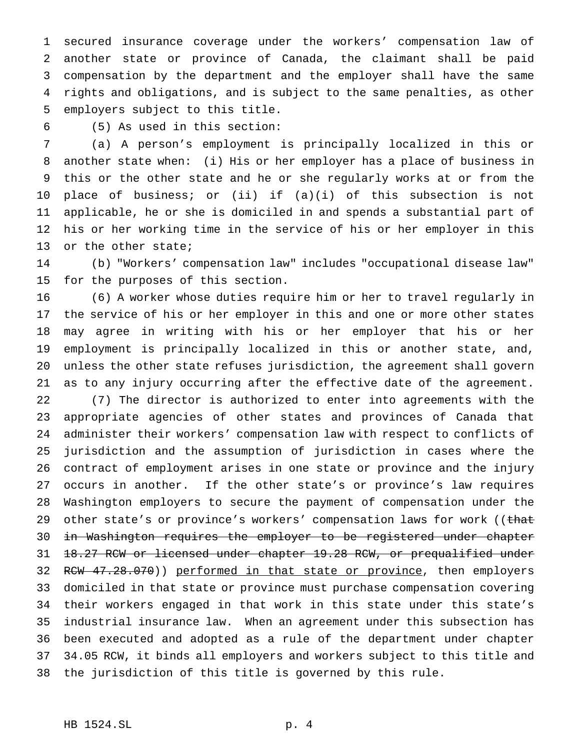secured insurance coverage under the workers' compensation law of another state or province of Canada, the claimant shall be paid compensation by the department and the employer shall have the same rights and obligations, and is subject to the same penalties, as other employers subject to this title.

(5) As used in this section:

 (a) A person's employment is principally localized in this or another state when: (i) His or her employer has a place of business in this or the other state and he or she regularly works at or from the place of business; or (ii) if (a)(i) of this subsection is not applicable, he or she is domiciled in and spends a substantial part of his or her working time in the service of his or her employer in this or the other state;

 (b) "Workers' compensation law" includes "occupational disease law" for the purposes of this section.

 (6) A worker whose duties require him or her to travel regularly in the service of his or her employer in this and one or more other states may agree in writing with his or her employer that his or her employment is principally localized in this or another state, and, unless the other state refuses jurisdiction, the agreement shall govern as to any injury occurring after the effective date of the agreement.

 (7) The director is authorized to enter into agreements with the appropriate agencies of other states and provinces of Canada that administer their workers' compensation law with respect to conflicts of jurisdiction and the assumption of jurisdiction in cases where the contract of employment arises in one state or province and the injury occurs in another. If the other state's or province's law requires Washington employers to secure the payment of compensation under the 29 other state's or province's workers' compensation laws for work ((that in Washington requires the employer to be registered under chapter 18.27 RCW or licensed under chapter 19.28 RCW, or prequalified under 32 RCW 47.28.070)) performed in that state or province, then employers domiciled in that state or province must purchase compensation covering their workers engaged in that work in this state under this state's industrial insurance law. When an agreement under this subsection has been executed and adopted as a rule of the department under chapter 34.05 RCW, it binds all employers and workers subject to this title and the jurisdiction of this title is governed by this rule.